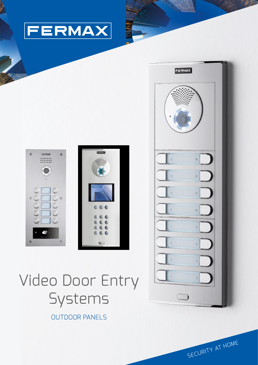



# Video Door Entry Systems

OUTDOOR PANELS



SECURITY AT HOME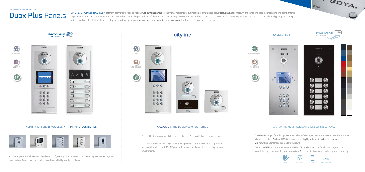#### COMBINE DIFFERENT MODULES WITH INFINITE POSSIBILITIES



A modular panel that allows total freedom to configure any composition of components required to meet system specification. Panels made of anodised aluminium with high outdoor resistance.

Great ability to combine simplicity and effectiveness. Standardized or made to measure.

CITYLINE is designed for single block developments. Manufactured using a profile of anodized aluminium the CITYLINE panel offers robust resistance in demanding external environments.

### cityline



### A CLASSIC IN THE BUILDINGS OF OUR CITIES



 $\circ$ 

#### CUSTOM THE MOST RESISTANT STAINLESS STEEL PANEL





The MARINE range of outdoor panels is vandal-proof and highly resistant to wear, even under extreme climate conditions. Made of AISI316L stainless steel, highly resistant to saline environments, 2.5 mm-thick. Standardized or made to measure.

Within the MARINE line, the exclusive MARINE ELITE panels allow total freedom of imagination and creativity: any colour, any size, any composition. And in the steel coloured panels, any laser-engraving.

# Duox Plus Panels

SKYLINE, CITYLINE and MARINE: A different aesthetic for each project. Push buttons panels for individual residences, businesses or small buildings. Digital panels for medium and large projects, incorporating the extra grap display with a 3,5" TFT, which facilitates its use and enhances the possibilities of the outdoor panel (integration of images and messages). The panels include wide-angle colour camera as standard with lighting for low-light vision conditions. In addition, they can integrate multiple systems: Information, communication and access control for more security in the property.



VIDEO DOOR ENTRY SYSTEMS









A GOYA,







IP65 IK09

 $\bigcirc$ 



**GOA**